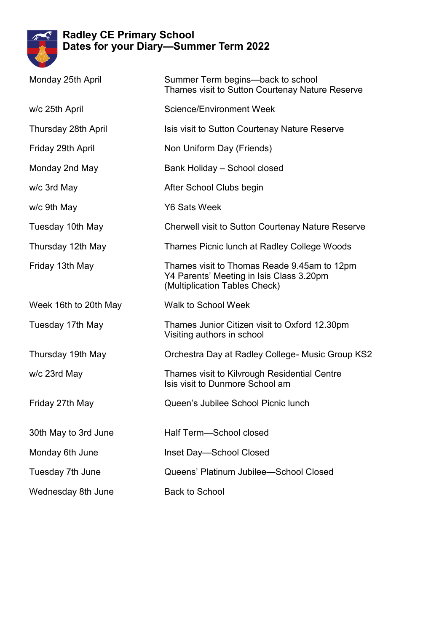

## **Radley CE Primary School Dates for your Diary—Summer Term 2022**

| Monday 25th April     | Summer Term begins—back to school<br>Thames visit to Sutton Courtenay Nature Reserve                                     |
|-----------------------|--------------------------------------------------------------------------------------------------------------------------|
| w/c 25th April        | <b>Science/Environment Week</b>                                                                                          |
| Thursday 28th April   | Isis visit to Sutton Courtenay Nature Reserve                                                                            |
| Friday 29th April     | Non Uniform Day (Friends)                                                                                                |
| Monday 2nd May        | Bank Holiday - School closed                                                                                             |
| w/c 3rd May           | After School Clubs begin                                                                                                 |
| w/c 9th May           | <b>Y6 Sats Week</b>                                                                                                      |
| Tuesday 10th May      | <b>Cherwell visit to Sutton Courtenay Nature Reserve</b>                                                                 |
| Thursday 12th May     | Thames Picnic lunch at Radley College Woods                                                                              |
| Friday 13th May       | Thames visit to Thomas Reade 9.45am to 12pm<br>Y4 Parents' Meeting in Isis Class 3.20pm<br>(Multiplication Tables Check) |
| Week 16th to 20th May | Walk to School Week                                                                                                      |
| Tuesday 17th May      | Thames Junior Citizen visit to Oxford 12.30pm<br>Visiting authors in school                                              |
| Thursday 19th May     | Orchestra Day at Radley College- Music Group KS2                                                                         |
| w/c 23rd May          | Thames visit to Kilvrough Residential Centre<br>Isis visit to Dunmore School am                                          |
| Friday 27th May       | Queen's Jubilee School Picnic lunch                                                                                      |
| 30th May to 3rd June  | Half Term-School closed                                                                                                  |
| Monday 6th June       | Inset Day-School Closed                                                                                                  |
| Tuesday 7th June      | Queens' Platinum Jubilee-School Closed                                                                                   |
| Wednesday 8th June    | <b>Back to School</b>                                                                                                    |